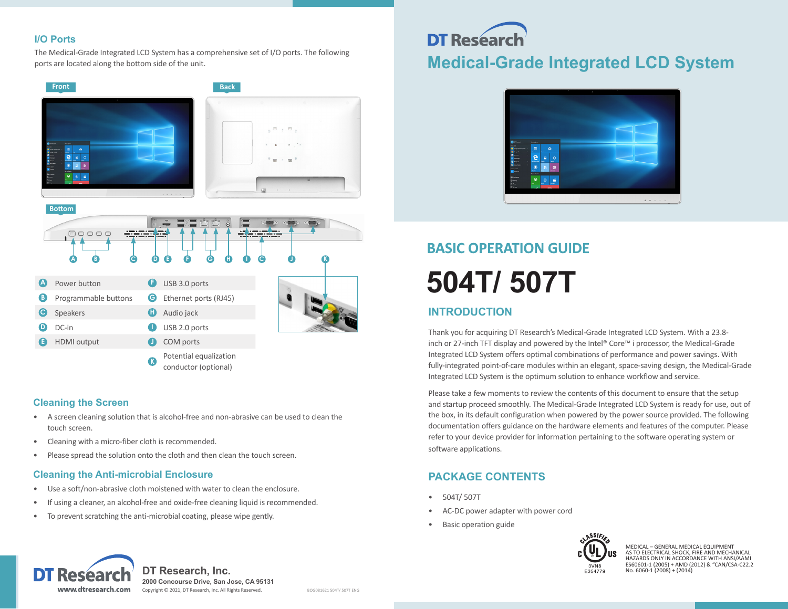## **I/O Ports**

The Medical-Grade Integrated LCD System has a comprehensive set of I/O ports. The following ports are located along the bottom side of the unit.



## **Cleaning the Screen**

- A screen cleaning solution that is alcohol-free and non-abrasive can be used to clean the touch screen.
- Cleaning with a micro-fiber cloth is recommended.
- Please spread the solution onto the cloth and then clean the touch screen.

## **Cleaning the Anti-microbial Enclosure**

- Use a soft/non-abrasive cloth moistened with water to clean the enclosure.
- If using a cleaner, an alcohol-free and oxide-free cleaning liquid is recommended.
- To prevent scratching the anti-microbial coating, please wipe gently.

## **DT Researd Medical-Grade Integrated LCD System**



# **BASIC OPERATION GUIDE 504T/ 507T**

## **INTRODUCTION**

Thank you for acquiring DT Research's Medical-Grade Integrated LCD System. With a 23.8 inch or 27-inch TFT display and powered by the Intel® Core™ i processor, the Medical-Grade Integrated LCD System offers optimal combinations of performance and power savings. With fully-integrated point-of-care modules within an elegant, space-saving design, the Medical-Grade Integrated LCD System is the optimum solution to enhance workflow and service.

Please take a few moments to review the contents of this document to ensure that the setup and startup proceed smoothly. The Medical-Grade Integrated LCD System is ready for use, out of the box, in its default configuration when powered by the power source provided. The following documentation offers guidance on the hardware elements and features of the computer. Please refer to your device provider for information pertaining to the software operating system or software applications.

## **PACKAGE CONTENTS**

- 504T/ 507T
- AC-DC power adapter with power cord
- Basic operation guide



MEDICAL – GENERAL MEDICAL EQUIPMENT<br>AS TO ELECTRICAL SHOCK, FIRE AND MECHANICAL<br>HAZARDS ONLY IN ACCORDANCE WITH ANSI/AAMI<br>ES60601-1 (2005) + AMD (2012) & "CAN/CSA-C22.2 No.  $6060-1(2008) + (2014)$ 



**DT Research, Inc. 2000 Concourse Drive, San Jose, CA 95131** Copyright © 2021, DT Research, Inc. All Rights Reserved. BOG081621 504T/ 507T ENG